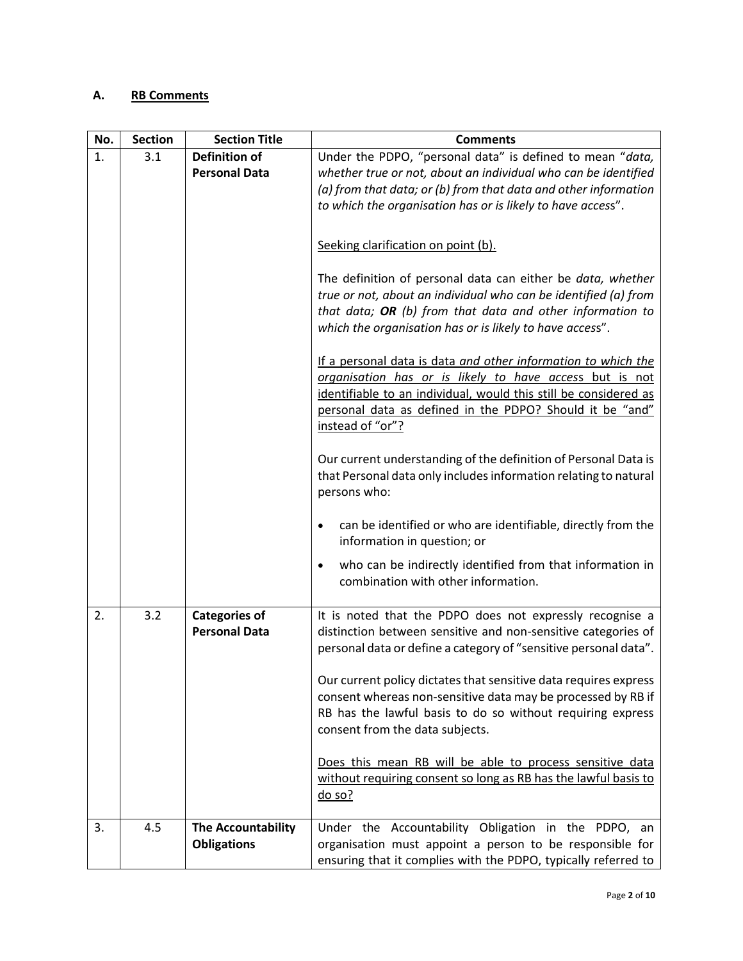## **A. RB Comments**

| No. | <b>Section</b> | <b>Section Title</b>                         | <b>Comments</b>                                                                                                                |  |
|-----|----------------|----------------------------------------------|--------------------------------------------------------------------------------------------------------------------------------|--|
| 1.  | 3.1            | <b>Definition of</b>                         | Under the PDPO, "personal data" is defined to mean "data,                                                                      |  |
|     |                | <b>Personal Data</b>                         | whether true or not, about an individual who can be identified                                                                 |  |
|     |                |                                              | (a) from that data; or (b) from that data and other information                                                                |  |
|     |                |                                              | to which the organisation has or is likely to have access".                                                                    |  |
|     |                |                                              |                                                                                                                                |  |
|     |                |                                              | Seeking clarification on point (b).                                                                                            |  |
|     |                |                                              |                                                                                                                                |  |
|     |                |                                              | The definition of personal data can either be data, whether<br>true or not, about an individual who can be identified (a) from |  |
|     |                |                                              | that data; OR (b) from that data and other information to                                                                      |  |
|     |                |                                              | which the organisation has or is likely to have access".                                                                       |  |
|     |                |                                              |                                                                                                                                |  |
|     |                |                                              | If a personal data is data and other information to which the                                                                  |  |
|     |                |                                              | organisation has or is likely to have access but is not                                                                        |  |
|     |                |                                              | identifiable to an individual, would this still be considered as                                                               |  |
|     |                |                                              | personal data as defined in the PDPO? Should it be "and"                                                                       |  |
|     |                |                                              | instead of "or"?                                                                                                               |  |
|     |                |                                              | Our current understanding of the definition of Personal Data is                                                                |  |
|     |                |                                              | that Personal data only includes information relating to natural                                                               |  |
|     |                |                                              | persons who:                                                                                                                   |  |
|     |                |                                              |                                                                                                                                |  |
|     |                |                                              | can be identified or who are identifiable, directly from the<br>$\bullet$                                                      |  |
|     |                |                                              | information in question; or                                                                                                    |  |
|     |                |                                              | who can be indirectly identified from that information in<br>$\bullet$                                                         |  |
|     |                |                                              | combination with other information.                                                                                            |  |
|     |                |                                              |                                                                                                                                |  |
| 2.  | 3.2            | <b>Categories of</b><br><b>Personal Data</b> | It is noted that the PDPO does not expressly recognise a<br>distinction between sensitive and non-sensitive categories of      |  |
|     |                |                                              | personal data or define a category of "sensitive personal data".                                                               |  |
|     |                |                                              |                                                                                                                                |  |
|     |                |                                              | Our current policy dictates that sensitive data requires express                                                               |  |
|     |                |                                              | consent whereas non-sensitive data may be processed by RB if                                                                   |  |
|     |                |                                              | RB has the lawful basis to do so without requiring express                                                                     |  |
|     |                |                                              | consent from the data subjects.                                                                                                |  |
|     |                |                                              | Does this mean RB will be able to process sensitive data                                                                       |  |
|     |                |                                              | without requiring consent so long as RB has the lawful basis to                                                                |  |
|     |                |                                              | $do$ so?                                                                                                                       |  |
|     |                |                                              |                                                                                                                                |  |
| 3.  | 4.5            | <b>The Accountability</b>                    | Under the Accountability Obligation in the PDPO, an                                                                            |  |
|     |                | <b>Obligations</b>                           | organisation must appoint a person to be responsible for                                                                       |  |
|     |                |                                              | ensuring that it complies with the PDPO, typically referred to                                                                 |  |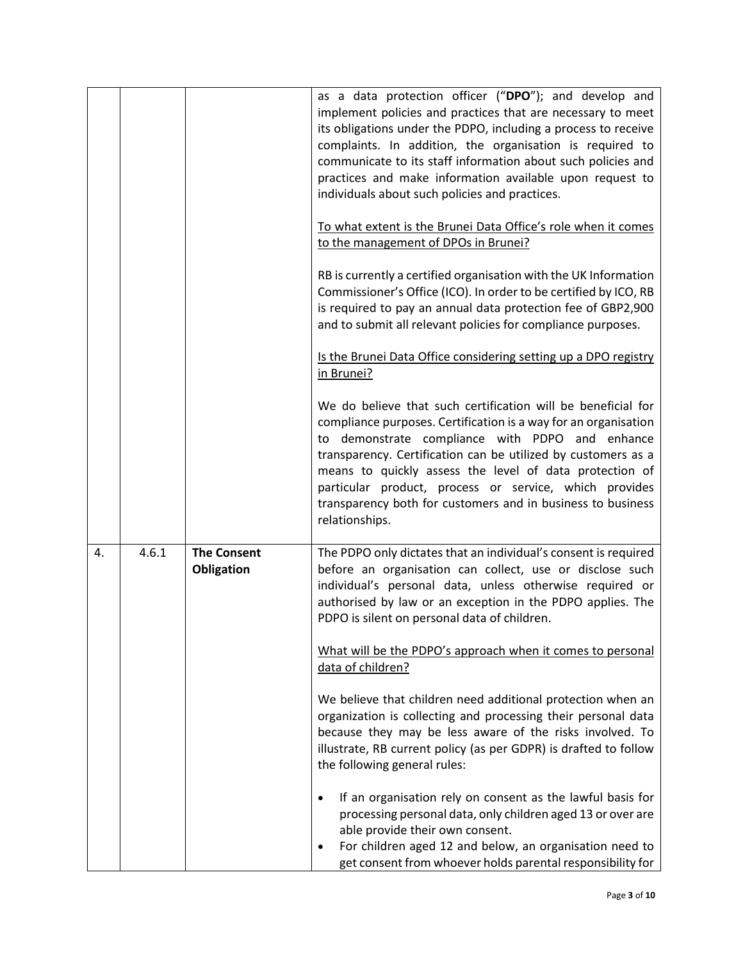|    |       |                                  | as a data protection officer ("DPO"); and develop and<br>implement policies and practices that are necessary to meet<br>its obligations under the PDPO, including a process to receive<br>complaints. In addition, the organisation is required to<br>communicate to its staff information about such policies and<br>practices and make information available upon request to<br>individuals about such policies and practices.<br>To what extent is the Brunei Data Office's role when it comes<br>to the management of DPOs in Brunei?<br>RB is currently a certified organisation with the UK Information<br>Commissioner's Office (ICO). In order to be certified by ICO, RB<br>is required to pay an annual data protection fee of GBP2,900<br>and to submit all relevant policies for compliance purposes.<br>Is the Brunei Data Office considering setting up a DPO registry<br>in Brunei?<br>We do believe that such certification will be beneficial for<br>compliance purposes. Certification is a way for an organisation<br>to demonstrate compliance with PDPO and enhance<br>transparency. Certification can be utilized by customers as a<br>means to quickly assess the level of data protection of<br>particular product, process or service, which provides<br>transparency both for customers and in business to business |
|----|-------|----------------------------------|-----------------------------------------------------------------------------------------------------------------------------------------------------------------------------------------------------------------------------------------------------------------------------------------------------------------------------------------------------------------------------------------------------------------------------------------------------------------------------------------------------------------------------------------------------------------------------------------------------------------------------------------------------------------------------------------------------------------------------------------------------------------------------------------------------------------------------------------------------------------------------------------------------------------------------------------------------------------------------------------------------------------------------------------------------------------------------------------------------------------------------------------------------------------------------------------------------------------------------------------------------------------------------------------------------------------------------------------------|
|    |       |                                  | relationships.                                                                                                                                                                                                                                                                                                                                                                                                                                                                                                                                                                                                                                                                                                                                                                                                                                                                                                                                                                                                                                                                                                                                                                                                                                                                                                                                |
| 4. | 4.6.1 | <b>The Consent</b><br>Obligation | The PDPO only dictates that an individual's consent is required<br>before an organisation can collect, use or disclose such<br>individual's personal data, unless otherwise required or<br>authorised by law or an exception in the PDPO applies. The<br>PDPO is silent on personal data of children.<br>What will be the PDPO's approach when it comes to personal<br>data of children?<br>We believe that children need additional protection when an<br>organization is collecting and processing their personal data<br>because they may be less aware of the risks involved. To<br>illustrate, RB current policy (as per GDPR) is drafted to follow<br>the following general rules:<br>If an organisation rely on consent as the lawful basis for<br>processing personal data, only children aged 13 or over are<br>able provide their own consent.<br>For children aged 12 and below, an organisation need to<br>٠<br>get consent from whoever holds parental responsibility for                                                                                                                                                                                                                                                                                                                                                        |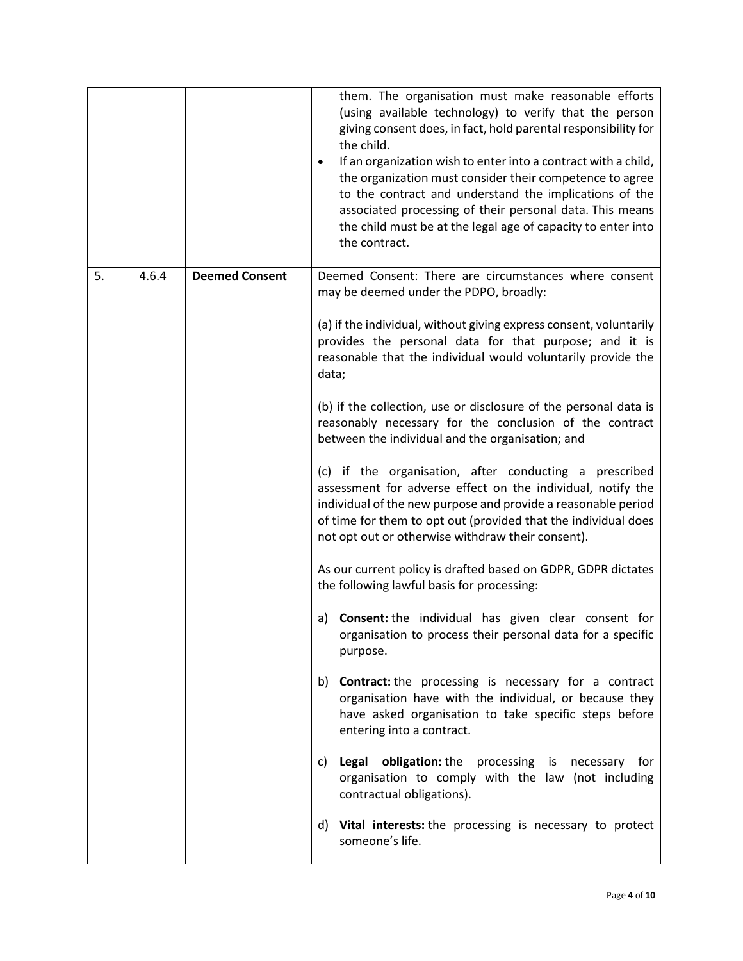|    |       |                       | them. The organisation must make reasonable efforts<br>(using available technology) to verify that the person<br>giving consent does, in fact, hold parental responsibility for<br>the child.<br>If an organization wish to enter into a contract with a child,<br>the organization must consider their competence to agree<br>to the contract and understand the implications of the<br>associated processing of their personal data. This means<br>the child must be at the legal age of capacity to enter into<br>the contract.                                                                                                                                                                                                                                                                                                                                                                                                                                                                                                                                                                                                                                                                                                                                                                                                                                                                                                                                                                                  |
|----|-------|-----------------------|---------------------------------------------------------------------------------------------------------------------------------------------------------------------------------------------------------------------------------------------------------------------------------------------------------------------------------------------------------------------------------------------------------------------------------------------------------------------------------------------------------------------------------------------------------------------------------------------------------------------------------------------------------------------------------------------------------------------------------------------------------------------------------------------------------------------------------------------------------------------------------------------------------------------------------------------------------------------------------------------------------------------------------------------------------------------------------------------------------------------------------------------------------------------------------------------------------------------------------------------------------------------------------------------------------------------------------------------------------------------------------------------------------------------------------------------------------------------------------------------------------------------|
| 5. | 4.6.4 | <b>Deemed Consent</b> | Deemed Consent: There are circumstances where consent<br>may be deemed under the PDPO, broadly:<br>(a) if the individual, without giving express consent, voluntarily<br>provides the personal data for that purpose; and it is<br>reasonable that the individual would voluntarily provide the<br>data;<br>(b) if the collection, use or disclosure of the personal data is<br>reasonably necessary for the conclusion of the contract<br>between the individual and the organisation; and<br>(c) if the organisation, after conducting a prescribed<br>assessment for adverse effect on the individual, notify the<br>individual of the new purpose and provide a reasonable period<br>of time for them to opt out (provided that the individual does<br>not opt out or otherwise withdraw their consent).<br>As our current policy is drafted based on GDPR, GDPR dictates<br>the following lawful basis for processing:<br><b>Consent:</b> the individual has given clear consent for<br>a)<br>organisation to process their personal data for a specific<br>purpose.<br>b) Contract: the processing is necessary for a contract<br>organisation have with the individual, or because they<br>have asked organisation to take specific steps before<br>entering into a contract.<br>Legal obligation: the processing is necessary for<br>C)<br>organisation to comply with the law (not including<br>contractual obligations).<br>d) Vital interests: the processing is necessary to protect<br>someone's life. |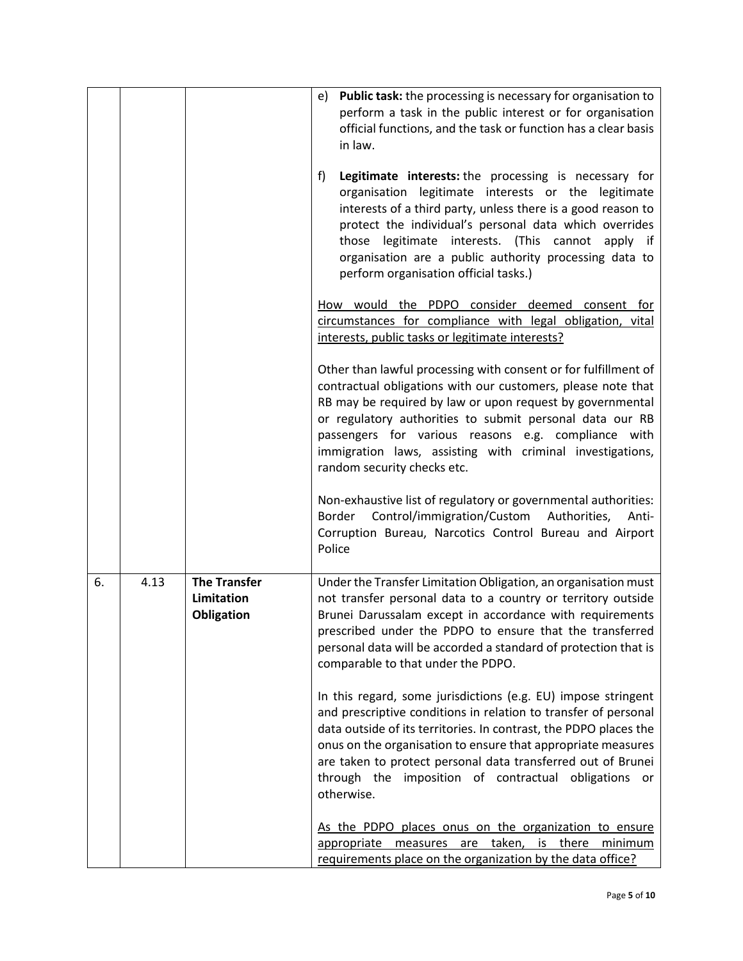|    |      |                                                 | e) Public task: the processing is necessary for organisation to<br>perform a task in the public interest or for organisation<br>official functions, and the task or function has a clear basis<br>in law.                                                                                                                                                                                                   |  |
|----|------|-------------------------------------------------|-------------------------------------------------------------------------------------------------------------------------------------------------------------------------------------------------------------------------------------------------------------------------------------------------------------------------------------------------------------------------------------------------------------|--|
|    |      |                                                 | Legitimate interests: the processing is necessary for<br>f)<br>organisation legitimate interests or the legitimate<br>interests of a third party, unless there is a good reason to<br>protect the individual's personal data which overrides<br>those legitimate interests. (This cannot apply if<br>organisation are a public authority processing data to<br>perform organisation official tasks.)        |  |
|    |      |                                                 | How would the PDPO consider deemed consent for<br>circumstances for compliance with legal obligation, vital<br>interests, public tasks or legitimate interests?                                                                                                                                                                                                                                             |  |
|    |      |                                                 | Other than lawful processing with consent or for fulfillment of<br>contractual obligations with our customers, please note that<br>RB may be required by law or upon request by governmental<br>or regulatory authorities to submit personal data our RB<br>passengers for various reasons e.g. compliance with<br>immigration laws, assisting with criminal investigations,<br>random security checks etc. |  |
|    |      |                                                 | Non-exhaustive list of regulatory or governmental authorities:<br>Border Control/immigration/Custom<br>Authorities,<br>Anti-<br>Corruption Bureau, Narcotics Control Bureau and Airport<br>Police                                                                                                                                                                                                           |  |
| 6. | 4.13 | <b>The Transfer</b><br>Limitation<br>Obligation | Under the Transfer Limitation Obligation, an organisation must<br>not transfer personal data to a country or territory outside<br>Brunei Darussalam except in accordance with requirements<br>prescribed under the PDPO to ensure that the transferred<br>personal data will be accorded a standard of protection that is<br>comparable to that under the PDPO.                                             |  |
|    |      |                                                 | In this regard, some jurisdictions (e.g. EU) impose stringent<br>and prescriptive conditions in relation to transfer of personal<br>data outside of its territories. In contrast, the PDPO places the<br>onus on the organisation to ensure that appropriate measures<br>are taken to protect personal data transferred out of Brunei<br>through the imposition of contractual obligations or<br>otherwise. |  |
|    |      |                                                 | As the PDPO places onus on the organization to ensure<br>appropriate measures are taken, is there<br>minimum<br>requirements place on the organization by the data office?                                                                                                                                                                                                                                  |  |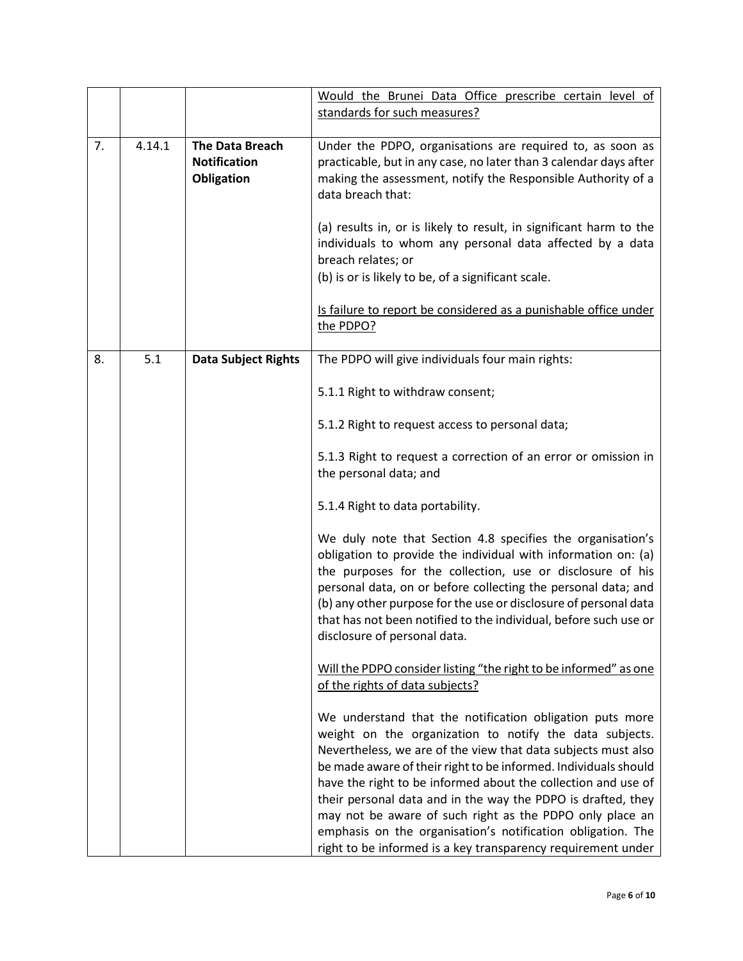|    |        |                                                             | Would the Brunei Data Office prescribe certain level of<br>standards for such measures?                                                                                                                                                                                                                                                                                                                                                                                                                                                                                             |
|----|--------|-------------------------------------------------------------|-------------------------------------------------------------------------------------------------------------------------------------------------------------------------------------------------------------------------------------------------------------------------------------------------------------------------------------------------------------------------------------------------------------------------------------------------------------------------------------------------------------------------------------------------------------------------------------|
| 7. | 4.14.1 | The Data Breach<br><b>Notification</b><br><b>Obligation</b> | Under the PDPO, organisations are required to, as soon as<br>practicable, but in any case, no later than 3 calendar days after<br>making the assessment, notify the Responsible Authority of a<br>data breach that:<br>(a) results in, or is likely to result, in significant harm to the<br>individuals to whom any personal data affected by a data<br>breach relates; or                                                                                                                                                                                                         |
|    |        |                                                             | (b) is or is likely to be, of a significant scale.<br>Is failure to report be considered as a punishable office under<br>the PDPO?                                                                                                                                                                                                                                                                                                                                                                                                                                                  |
| 8. | 5.1    | <b>Data Subject Rights</b>                                  | The PDPO will give individuals four main rights:                                                                                                                                                                                                                                                                                                                                                                                                                                                                                                                                    |
|    |        |                                                             | 5.1.1 Right to withdraw consent;                                                                                                                                                                                                                                                                                                                                                                                                                                                                                                                                                    |
|    |        |                                                             | 5.1.2 Right to request access to personal data;                                                                                                                                                                                                                                                                                                                                                                                                                                                                                                                                     |
|    |        |                                                             | 5.1.3 Right to request a correction of an error or omission in<br>the personal data; and                                                                                                                                                                                                                                                                                                                                                                                                                                                                                            |
|    |        |                                                             | 5.1.4 Right to data portability.                                                                                                                                                                                                                                                                                                                                                                                                                                                                                                                                                    |
|    |        |                                                             | We duly note that Section 4.8 specifies the organisation's<br>obligation to provide the individual with information on: (a)<br>the purposes for the collection, use or disclosure of his<br>personal data, on or before collecting the personal data; and<br>(b) any other purpose for the use or disclosure of personal data<br>that has not been notified to the individual, before such use or<br>disclosure of personal data.                                                                                                                                                   |
|    |        |                                                             | Will the PDPO consider listing "the right to be informed" as one<br>of the rights of data subjects?                                                                                                                                                                                                                                                                                                                                                                                                                                                                                 |
|    |        |                                                             | We understand that the notification obligation puts more<br>weight on the organization to notify the data subjects.<br>Nevertheless, we are of the view that data subjects must also<br>be made aware of their right to be informed. Individuals should<br>have the right to be informed about the collection and use of<br>their personal data and in the way the PDPO is drafted, they<br>may not be aware of such right as the PDPO only place an<br>emphasis on the organisation's notification obligation. The<br>right to be informed is a key transparency requirement under |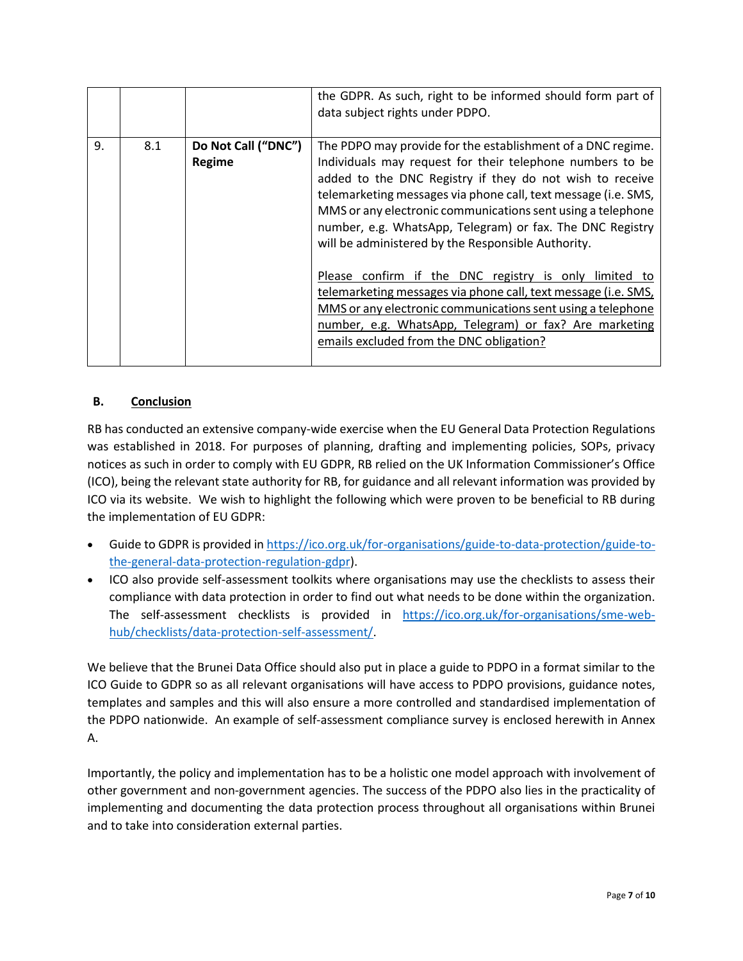|    |     |                               | the GDPR. As such, right to be informed should form part of<br>data subject rights under PDPO.                                                                                                                                                                                                                                                                                                                                                                                                                                                                                                                                                                                                                                           |
|----|-----|-------------------------------|------------------------------------------------------------------------------------------------------------------------------------------------------------------------------------------------------------------------------------------------------------------------------------------------------------------------------------------------------------------------------------------------------------------------------------------------------------------------------------------------------------------------------------------------------------------------------------------------------------------------------------------------------------------------------------------------------------------------------------------|
| 9. | 8.1 | Do Not Call ("DNC")<br>Regime | The PDPO may provide for the establishment of a DNC regime.<br>Individuals may request for their telephone numbers to be<br>added to the DNC Registry if they do not wish to receive<br>telemarketing messages via phone call, text message (i.e. SMS,<br>MMS or any electronic communications sent using a telephone<br>number, e.g. WhatsApp, Telegram) or fax. The DNC Registry<br>will be administered by the Responsible Authority.<br>Please confirm if the DNC registry is only limited to<br>telemarketing messages via phone call, text message (i.e. SMS,<br>MMS or any electronic communications sent using a telephone<br>number, e.g. WhatsApp, Telegram) or fax? Are marketing<br>emails excluded from the DNC obligation? |

## **B. Conclusion**

RB has conducted an extensive company-wide exercise when the EU General Data Protection Regulations was established in 2018. For purposes of planning, drafting and implementing policies, SOPs, privacy notices as such in order to comply with EU GDPR, RB relied on the UK Information Commissioner's Office (ICO), being the relevant state authority for RB, for guidance and all relevant information was provided by ICO via its website. We wish to highlight the following which were proven to be beneficial to RB during the implementation of EU GDPR:

- Guide to GDPR is provided in [https://ico.org.uk/for-organisations/guide-to-data-protection/guide-to](https://ico.org.uk/for-organisations/guide-to-data-protection/guide-to-the-general-data-protection-regulation-gdpr)[the-general-data-protection-regulation-gdpr\)](https://ico.org.uk/for-organisations/guide-to-data-protection/guide-to-the-general-data-protection-regulation-gdpr).
- ICO also provide self-assessment toolkits where organisations may use the checklists to assess their compliance with data protection in order to find out what needs to be done within the organization. The self-assessment checklists is provided in [https://ico.org.uk/for-organisations/sme-web](https://ico.org.uk/for-organisations/sme-web-hub/checklists/data-protection-self-assessment/)[hub/checklists/data-protection-self-assessment/.](https://ico.org.uk/for-organisations/sme-web-hub/checklists/data-protection-self-assessment/)

We believe that the Brunei Data Office should also put in place a guide to PDPO in a format similar to the ICO Guide to GDPR so as all relevant organisations will have access to PDPO provisions, guidance notes, templates and samples and this will also ensure a more controlled and standardised implementation of the PDPO nationwide. An example of self-assessment compliance survey is enclosed herewith in Annex A.

Importantly, the policy and implementation has to be a holistic one model approach with involvement of other government and non-government agencies. The success of the PDPO also lies in the practicality of implementing and documenting the data protection process throughout all organisations within Brunei and to take into consideration external parties.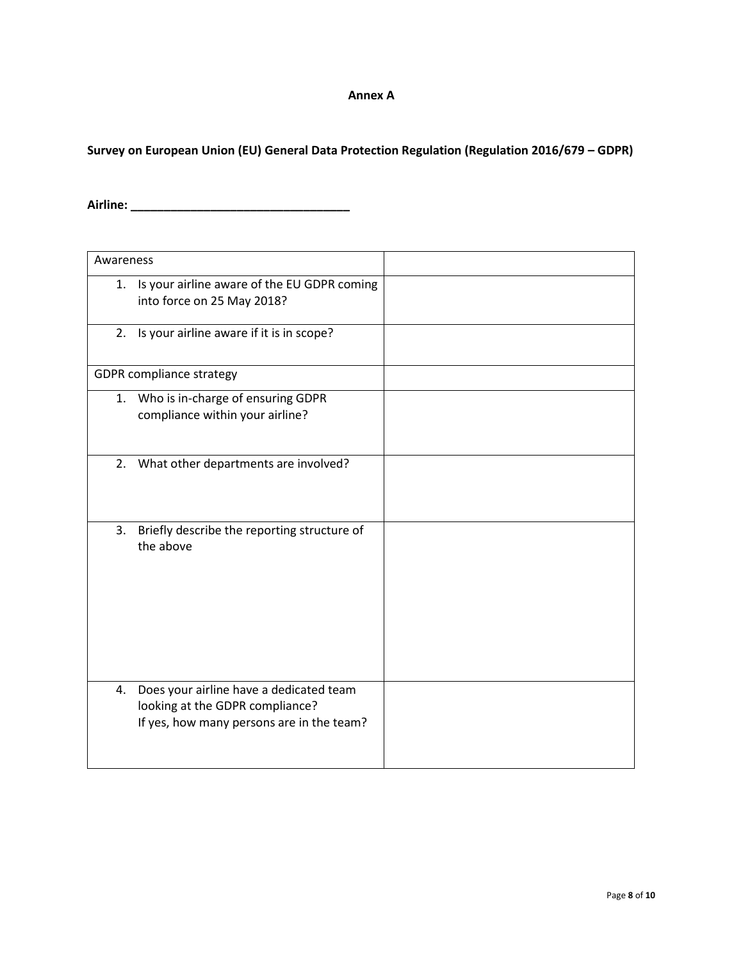## **Annex A**

**Survey on European Union (EU) General Data Protection Regulation (Regulation 2016/679 – GDPR)**

**Airline: \_\_\_\_\_\_\_\_\_\_\_\_\_\_\_\_\_\_\_\_\_\_\_\_\_\_\_\_\_\_\_\_\_**

| Awareness |                                                                                                                         |  |
|-----------|-------------------------------------------------------------------------------------------------------------------------|--|
| 1.        | Is your airline aware of the EU GDPR coming<br>into force on 25 May 2018?                                               |  |
|           | 2. Is your airline aware if it is in scope?                                                                             |  |
|           | <b>GDPR</b> compliance strategy                                                                                         |  |
|           | 1. Who is in-charge of ensuring GDPR<br>compliance within your airline?                                                 |  |
|           | 2. What other departments are involved?                                                                                 |  |
| 3.        | Briefly describe the reporting structure of<br>the above                                                                |  |
| 4.        | Does your airline have a dedicated team<br>looking at the GDPR compliance?<br>If yes, how many persons are in the team? |  |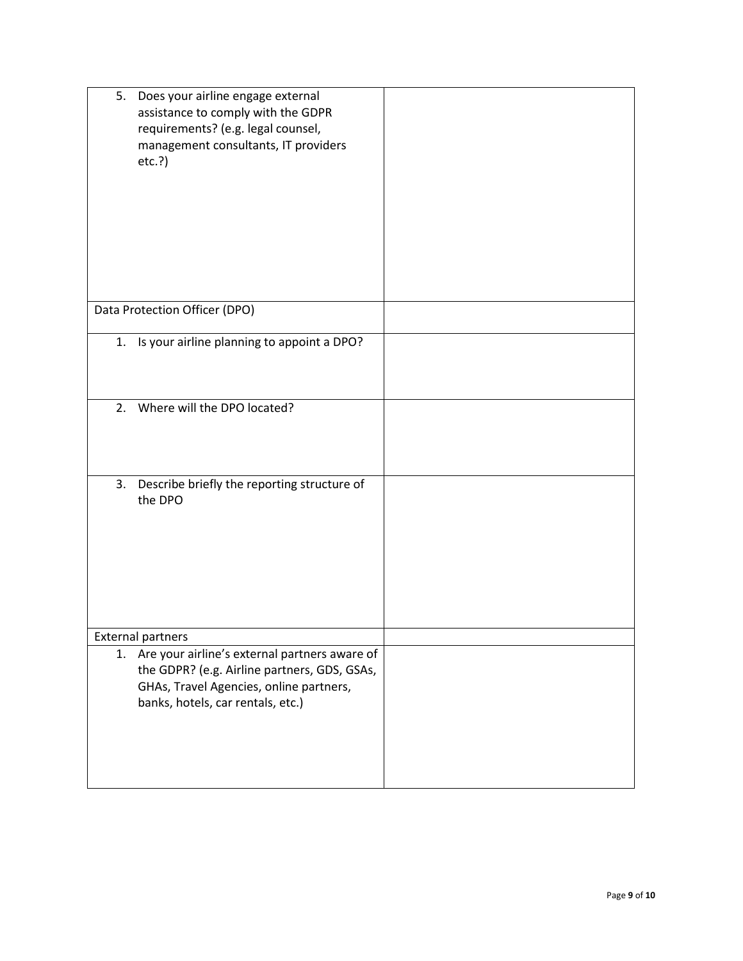| 5. | Does your airline engage external<br>assistance to comply with the GDPR<br>requirements? (e.g. legal counsel,<br>management consultants, IT providers<br>etc.?)               |  |
|----|-------------------------------------------------------------------------------------------------------------------------------------------------------------------------------|--|
|    | Data Protection Officer (DPO)                                                                                                                                                 |  |
|    | 1. Is your airline planning to appoint a DPO?                                                                                                                                 |  |
| 2. | Where will the DPO located?                                                                                                                                                   |  |
| 3. | Describe briefly the reporting structure of<br>the DPO                                                                                                                        |  |
|    | <b>External partners</b>                                                                                                                                                      |  |
| 1. | Are your airline's external partners aware of<br>the GDPR? (e.g. Airline partners, GDS, GSAs,<br>GHAs, Travel Agencies, online partners,<br>banks, hotels, car rentals, etc.) |  |